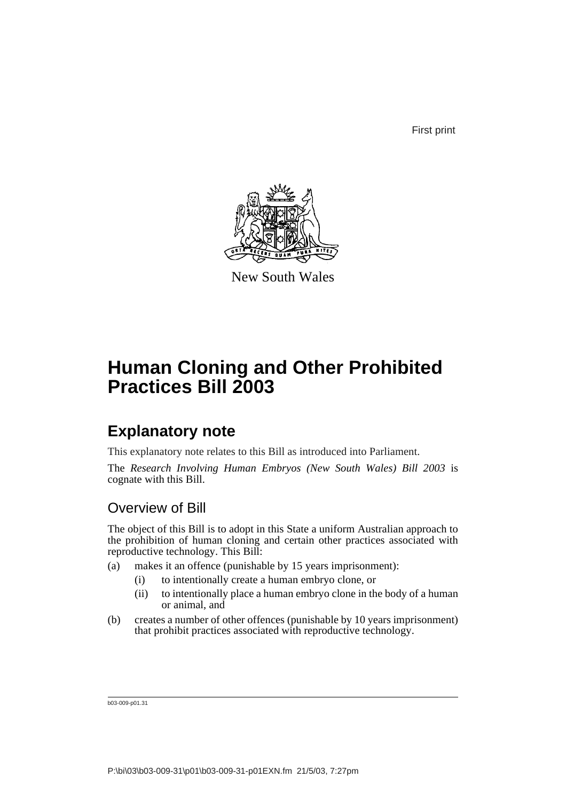First print



New South Wales

# **Human Cloning and Other Prohibited Practices Bill 2003**

# **Explanatory note**

This explanatory note relates to this Bill as introduced into Parliament.

The *Research Involving Human Embryos (New South Wales) Bill 2003* is cognate with this Bill.

## Overview of Bill

The object of this Bill is to adopt in this State a uniform Australian approach to the prohibition of human cloning and certain other practices associated with reproductive technology. This Bill:

- (a) makes it an offence (punishable by 15 years imprisonment):
	- (i) to intentionally create a human embryo clone, or
	- (ii) to intentionally place a human embryo clone in the body of a human or animal, and
- (b) creates a number of other offences (punishable by 10 years imprisonment) that prohibit practices associated with reproductive technology.

b03-009-p01.31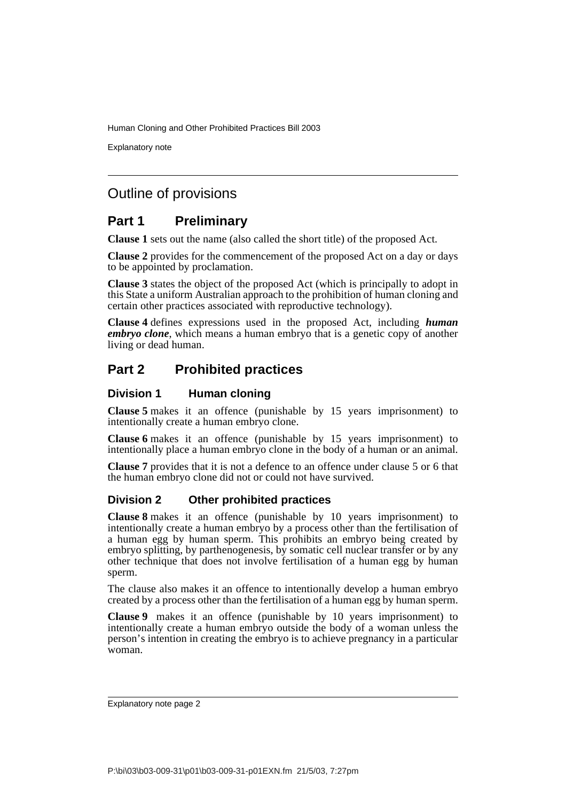Explanatory note

## Outline of provisions

## **Part 1 Preliminary**

**Clause 1** sets out the name (also called the short title) of the proposed Act.

**Clause 2** provides for the commencement of the proposed Act on a day or days to be appointed by proclamation.

**Clause 3** states the object of the proposed Act (which is principally to adopt in this State a uniform Australian approach to the prohibition of human cloning and certain other practices associated with reproductive technology).

**Clause 4** defines expressions used in the proposed Act, including *human embryo clone*, which means a human embryo that is a genetic copy of another living or dead human.

## **Part 2 Prohibited practices**

### **Division 1 Human cloning**

**Clause 5** makes it an offence (punishable by 15 years imprisonment) to intentionally create a human embryo clone.

**Clause 6** makes it an offence (punishable by 15 years imprisonment) to intentionally place a human embryo clone in the body of a human or an animal.

**Clause 7** provides that it is not a defence to an offence under clause 5 or 6 that the human embryo clone did not or could not have survived.

### **Division 2 Other prohibited practices**

**Clause 8** makes it an offence (punishable by 10 years imprisonment) to intentionally create a human embryo by a process other than the fertilisation of a human egg by human sperm. This prohibits an embryo being created by embryo splitting, by parthenogenesis, by somatic cell nuclear transfer or by any other technique that does not involve fertilisation of a human egg by human sperm.

The clause also makes it an offence to intentionally develop a human embryo created by a process other than the fertilisation of a human egg by human sperm.

**Clause 9** makes it an offence (punishable by 10 years imprisonment) to intentionally create a human embryo outside the body of a woman unless the person's intention in creating the embryo is to achieve pregnancy in a particular woman.

Explanatory note page 2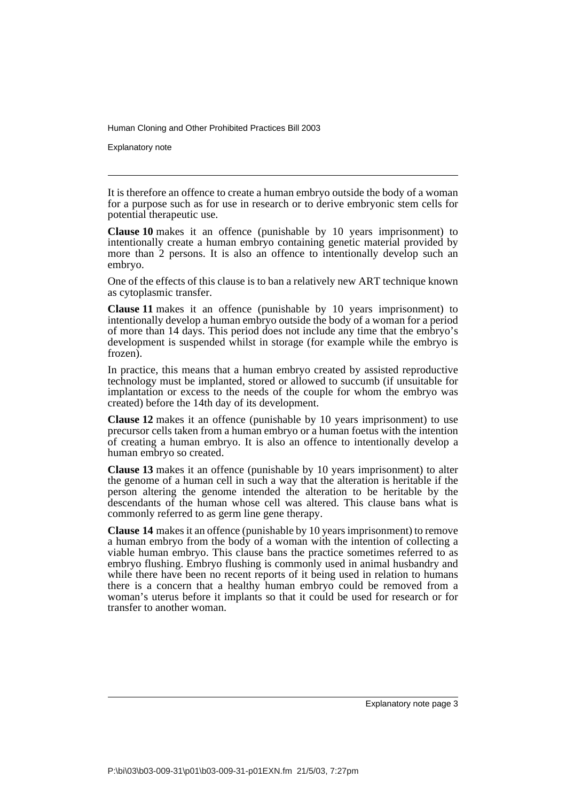Explanatory note

It is therefore an offence to create a human embryo outside the body of a woman for a purpose such as for use in research or to derive embryonic stem cells for potential therapeutic use.

**Clause 10** makes it an offence (punishable by 10 years imprisonment) to intentionally create a human embryo containing genetic material provided by more than 2 persons. It is also an offence to intentionally develop such an embryo.

One of the effects of this clause is to ban a relatively new ART technique known as cytoplasmic transfer.

**Clause 11** makes it an offence (punishable by 10 years imprisonment) to intentionally develop a human embryo outside the body of a woman for a period of more than 14 days. This period does not include any time that the embryo's development is suspended whilst in storage (for example while the embryo is frozen).

In practice, this means that a human embryo created by assisted reproductive technology must be implanted, stored or allowed to succumb (if unsuitable for implantation or excess to the needs of the couple for whom the embryo was created) before the 14th day of its development.

**Clause 12** makes it an offence (punishable by 10 years imprisonment) to use precursor cells taken from a human embryo or a human foetus with the intention of creating a human embryo. It is also an offence to intentionally develop a human embryo so created.

**Clause 13** makes it an offence (punishable by 10 years imprisonment) to alter the genome of a human cell in such a way that the alteration is heritable if the person altering the genome intended the alteration to be heritable by the descendants of the human whose cell was altered. This clause bans what is commonly referred to as germ line gene therapy.

**Clause 14** makes it an offence (punishable by 10 years imprisonment) to remove a human embryo from the body of a woman with the intention of collecting a viable human embryo. This clause bans the practice sometimes referred to as embryo flushing. Embryo flushing is commonly used in animal husbandry and while there have been no recent reports of it being used in relation to humans there is a concern that a healthy human embryo could be removed from a woman's uterus before it implants so that it could be used for research or for transfer to another woman.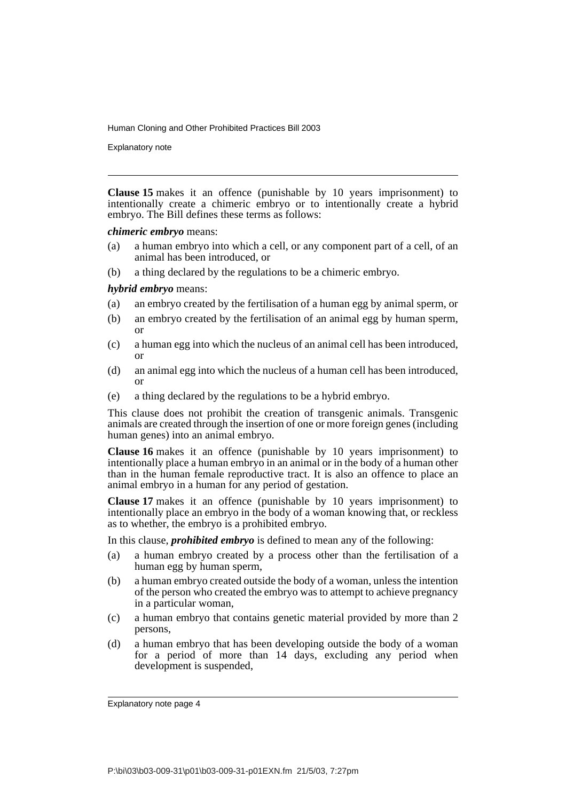Explanatory note

**Clause 15** makes it an offence (punishable by 10 years imprisonment) to intentionally create a chimeric embryo or to intentionally create a hybrid embryo. The Bill defines these terms as follows:

#### *chimeric embryo* means:

- (a) a human embryo into which a cell, or any component part of a cell, of an animal has been introduced, or
- (b) a thing declared by the regulations to be a chimeric embryo.

#### *hybrid embryo* means:

- (a) an embryo created by the fertilisation of a human egg by animal sperm, or
- (b) an embryo created by the fertilisation of an animal egg by human sperm, or
- (c) a human egg into which the nucleus of an animal cell has been introduced, or
- (d) an animal egg into which the nucleus of a human cell has been introduced, or
- (e) a thing declared by the regulations to be a hybrid embryo.

This clause does not prohibit the creation of transgenic animals. Transgenic animals are created through the insertion of one or more foreign genes (including human genes) into an animal embryo.

**Clause 16** makes it an offence (punishable by 10 years imprisonment) to intentionally place a human embryo in an animal or in the body of a human other than in the human female reproductive tract. It is also an offence to place an animal embryo in a human for any period of gestation.

**Clause 17** makes it an offence (punishable by 10 years imprisonment) to intentionally place an embryo in the body of a woman knowing that, or reckless as to whether, the embryo is a prohibited embryo.

In this clause, *prohibited embryo* is defined to mean any of the following:

- (a) a human embryo created by a process other than the fertilisation of a human egg by human sperm,
- (b) a human embryo created outside the body of a woman, unless the intention of the person who created the embryo was to attempt to achieve pregnancy in a particular woman,
- (c) a human embryo that contains genetic material provided by more than 2 persons,
- (d) a human embryo that has been developing outside the body of a woman for a period of more than 14 days, excluding any period when development is suspended,

Explanatory note page 4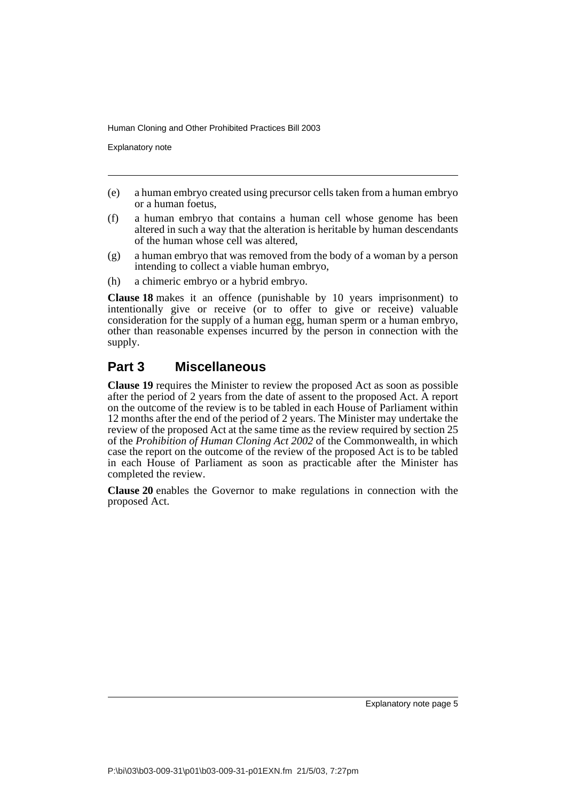Explanatory note

- (e) a human embryo created using precursor cells taken from a human embryo or a human foetus,
- (f) a human embryo that contains a human cell whose genome has been altered in such a way that the alteration is heritable by human descendants of the human whose cell was altered,
- (g) a human embryo that was removed from the body of a woman by a person intending to collect a viable human embryo,
- (h) a chimeric embryo or a hybrid embryo.

**Clause 18** makes it an offence (punishable by 10 years imprisonment) to intentionally give or receive (or to offer to give or receive) valuable consideration for the supply of a human egg, human sperm or a human embryo, other than reasonable expenses incurred by the person in connection with the supply.

### **Part 3 Miscellaneous**

**Clause 19** requires the Minister to review the proposed Act as soon as possible after the period of 2 years from the date of assent to the proposed Act. A report on the outcome of the review is to be tabled in each House of Parliament within 12 months after the end of the period of 2 years. The Minister may undertake the review of the proposed Act at the same time as the review required by section 25 of the *Prohibition of Human Cloning Act 2002* of the Commonwealth, in which case the report on the outcome of the review of the proposed Act is to be tabled in each House of Parliament as soon as practicable after the Minister has completed the review.

**Clause 20** enables the Governor to make regulations in connection with the proposed Act.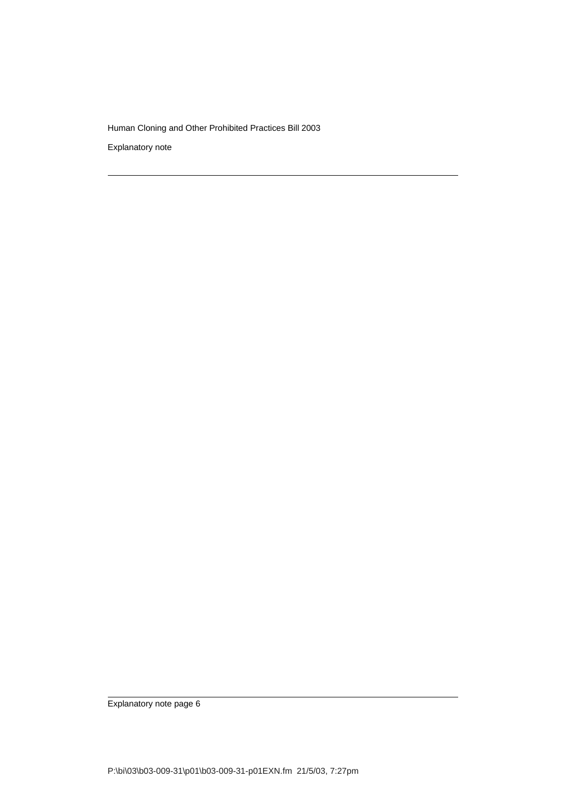Explanatory note

Explanatory note page 6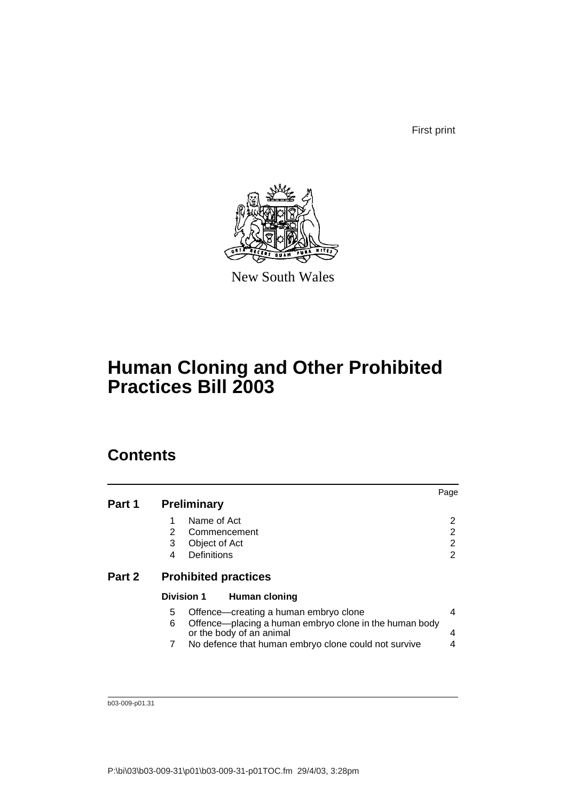First print



New South Wales

# **Human Cloning and Other Prohibited Practices Bill 2003**

# **Contents**

| Part 1 | <b>Preliminary</b>                                                                                                                     | Page                                    |
|--------|----------------------------------------------------------------------------------------------------------------------------------------|-----------------------------------------|
|        | Name of Act                                                                                                                            | $\mathbf{2}^{\prime}$                   |
|        | 2<br>Commencement<br>Object of Act<br>3                                                                                                | $\mathbf{2}^{\prime}$<br>$\overline{2}$ |
|        | Definitions<br>4                                                                                                                       | $\overline{2}$                          |
| Part 2 | <b>Prohibited practices</b>                                                                                                            |                                         |
|        |                                                                                                                                        |                                         |
|        | <b>Division 1</b><br>Human cloning                                                                                                     |                                         |
|        | Offence—creating a human embryo clone<br>5.<br>Offence—placing a human embryo clone in the human body<br>6<br>or the body of an animal | 4<br>4                                  |

b03-009-p01.31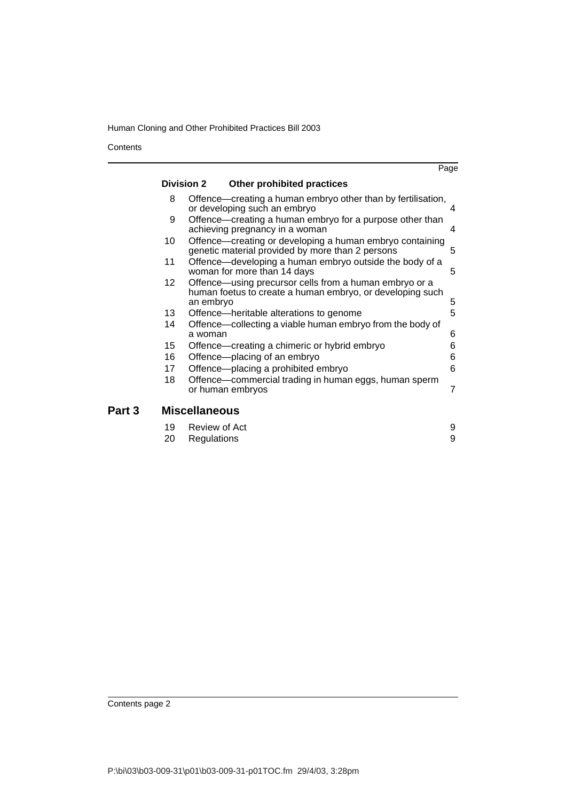**Contents** 

**Part 3** 

|                   |                                                                                                                                  | Page |
|-------------------|----------------------------------------------------------------------------------------------------------------------------------|------|
| <b>Division 2</b> | Other prohibited practices                                                                                                       |      |
| 8                 | Offence—creating a human embryo other than by fertilisation,<br>or developing such an embryo                                     | 4    |
| 9                 | Offence-creating a human embryo for a purpose other than<br>achieving pregnancy in a woman                                       | 4    |
| 10                | Offence-creating or developing a human embryo containing<br>genetic material provided by more than 2 persons                     | 5    |
| 11                | Offence—developing a human embryo outside the body of a<br>woman for more than 14 days                                           | 5    |
| $12 \overline{ }$ | Offence—using precursor cells from a human embryo or a<br>human foetus to create a human embryo, or developing such<br>an embryo | 5    |
| 13                | Offence—heritable alterations to genome                                                                                          | 5    |
| 14                | Offence-collecting a viable human embryo from the body of<br>a woman                                                             | 6    |
| 15                | Offence—creating a chimeric or hybrid embryo                                                                                     | 6    |
| 16                | Offence-placing of an embryo                                                                                                     | 6    |
| 17                | Offence-placing a prohibited embryo                                                                                              | 6    |
| 18                | Offence-commercial trading in human eggs, human sperm<br>or human embryos                                                        | 7    |
|                   | <b>Miscellaneous</b>                                                                                                             |      |
| 19                | Review of Act                                                                                                                    | 9    |
| 20                | Regulations                                                                                                                      | 9    |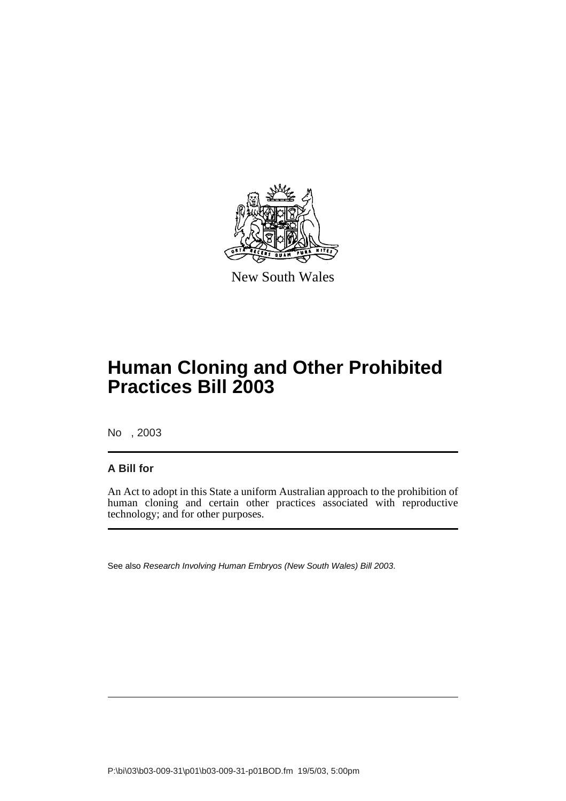

New South Wales

# **Human Cloning and Other Prohibited Practices Bill 2003**

No , 2003

### **A Bill for**

An Act to adopt in this State a uniform Australian approach to the prohibition of human cloning and certain other practices associated with reproductive technology; and for other purposes.

See also Research Involving Human Embryos (New South Wales) Bill 2003.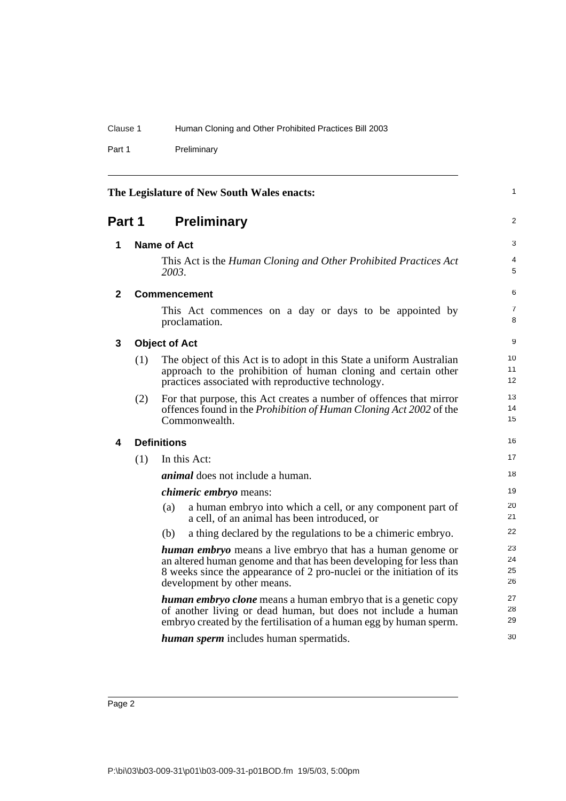Part 1 Preliminary

<span id="page-9-4"></span><span id="page-9-3"></span><span id="page-9-2"></span><span id="page-9-1"></span><span id="page-9-0"></span>

| The Legislature of New South Wales enacts: |                                                                           |                      |                                                                                                                                                                                                                                                  |                      |  |
|--------------------------------------------|---------------------------------------------------------------------------|----------------------|--------------------------------------------------------------------------------------------------------------------------------------------------------------------------------------------------------------------------------------------------|----------------------|--|
| Part 1                                     |                                                                           |                      | <b>Preliminary</b>                                                                                                                                                                                                                               | 2                    |  |
| 1                                          |                                                                           | <b>Name of Act</b>   |                                                                                                                                                                                                                                                  |                      |  |
|                                            | This Act is the Human Cloning and Other Prohibited Practices Act<br>2003. |                      |                                                                                                                                                                                                                                                  |                      |  |
| $\mathbf{2}$                               | <b>Commencement</b>                                                       |                      |                                                                                                                                                                                                                                                  | 6                    |  |
|                                            |                                                                           |                      | This Act commences on a day or days to be appointed by<br>proclamation.                                                                                                                                                                          | $\overline{7}$<br>8  |  |
| 3                                          |                                                                           | <b>Object of Act</b> |                                                                                                                                                                                                                                                  | 9                    |  |
|                                            | (1)                                                                       |                      | The object of this Act is to adopt in this State a uniform Australian<br>approach to the prohibition of human cloning and certain other<br>practices associated with reproductive technology.                                                    | 10<br>11<br>12       |  |
|                                            | (2)                                                                       |                      | For that purpose, this Act creates a number of offences that mirror<br>offences found in the <i>Prohibition of Human Cloning Act 2002</i> of the<br>Commonwealth.                                                                                | 13<br>14<br>15       |  |
| 4                                          |                                                                           | <b>Definitions</b>   |                                                                                                                                                                                                                                                  | 16                   |  |
|                                            | (1)                                                                       |                      | In this Act:                                                                                                                                                                                                                                     | 17                   |  |
|                                            |                                                                           |                      | <i>animal</i> does not include a human.                                                                                                                                                                                                          | 18                   |  |
|                                            |                                                                           |                      | <i>chimeric embryo</i> means:                                                                                                                                                                                                                    | 19                   |  |
|                                            |                                                                           | (a)                  | a human embryo into which a cell, or any component part of<br>a cell, of an animal has been introduced, or                                                                                                                                       | 20<br>21             |  |
|                                            |                                                                           | (b)                  | a thing declared by the regulations to be a chimeric embryo.                                                                                                                                                                                     | 22                   |  |
|                                            |                                                                           |                      | <b>human embryo</b> means a live embryo that has a human genome or<br>an altered human genome and that has been developing for less than<br>8 weeks since the appearance of 2 pro-nuclei or the initiation of its<br>development by other means. | 23<br>24<br>25<br>26 |  |
|                                            |                                                                           |                      | <i>human embryo clone</i> means a human embryo that is a genetic copy<br>of another living or dead human, but does not include a human<br>embryo created by the fertilisation of a human egg by human sperm.                                     | 27<br>28<br>29       |  |
|                                            |                                                                           |                      | <i>human sperm</i> includes human spermatids.                                                                                                                                                                                                    | 30                   |  |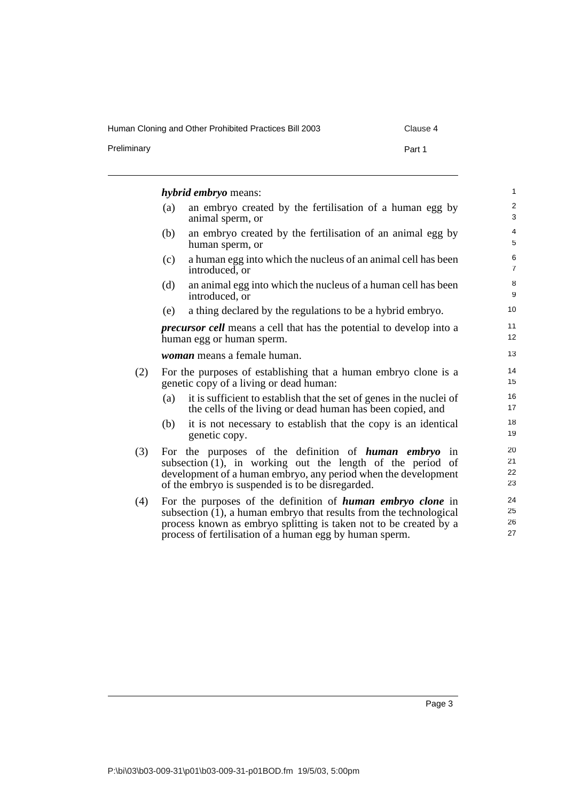|     |                                                                                                                                    | $\mathbf{1}$                                                                                                                                                                                                                                                                                                                                                                                                                                                                                                                                                                                                                                                                                                                                                                                                                |
|-----|------------------------------------------------------------------------------------------------------------------------------------|-----------------------------------------------------------------------------------------------------------------------------------------------------------------------------------------------------------------------------------------------------------------------------------------------------------------------------------------------------------------------------------------------------------------------------------------------------------------------------------------------------------------------------------------------------------------------------------------------------------------------------------------------------------------------------------------------------------------------------------------------------------------------------------------------------------------------------|
| (a) | an embryo created by the fertilisation of a human egg by<br>animal sperm, or                                                       | $\overline{\mathbf{c}}$<br>3                                                                                                                                                                                                                                                                                                                                                                                                                                                                                                                                                                                                                                                                                                                                                                                                |
| (b) | an embryo created by the fertilisation of an animal egg by<br>human sperm, or                                                      | 4<br>5                                                                                                                                                                                                                                                                                                                                                                                                                                                                                                                                                                                                                                                                                                                                                                                                                      |
| (c) | a human egg into which the nucleus of an animal cell has been<br>introduced, or                                                    | 6<br>$\overline{7}$                                                                                                                                                                                                                                                                                                                                                                                                                                                                                                                                                                                                                                                                                                                                                                                                         |
| (d) | an animal egg into which the nucleus of a human cell has been<br>introduced, or                                                    | 8<br>9                                                                                                                                                                                                                                                                                                                                                                                                                                                                                                                                                                                                                                                                                                                                                                                                                      |
| (e) | a thing declared by the regulations to be a hybrid embryo.                                                                         | 10                                                                                                                                                                                                                                                                                                                                                                                                                                                                                                                                                                                                                                                                                                                                                                                                                          |
|     |                                                                                                                                    | 11<br>12                                                                                                                                                                                                                                                                                                                                                                                                                                                                                                                                                                                                                                                                                                                                                                                                                    |
|     |                                                                                                                                    | 13                                                                                                                                                                                                                                                                                                                                                                                                                                                                                                                                                                                                                                                                                                                                                                                                                          |
|     |                                                                                                                                    | 14<br>15                                                                                                                                                                                                                                                                                                                                                                                                                                                                                                                                                                                                                                                                                                                                                                                                                    |
| (a) | it is sufficient to establish that the set of genes in the nuclei of<br>the cells of the living or dead human has been copied, and | 16<br>17                                                                                                                                                                                                                                                                                                                                                                                                                                                                                                                                                                                                                                                                                                                                                                                                                    |
| (b) | it is not necessary to establish that the copy is an identical<br>genetic copy.                                                    | 18<br>19                                                                                                                                                                                                                                                                                                                                                                                                                                                                                                                                                                                                                                                                                                                                                                                                                    |
|     | in                                                                                                                                 | 20<br>21<br>22<br>23                                                                                                                                                                                                                                                                                                                                                                                                                                                                                                                                                                                                                                                                                                                                                                                                        |
|     |                                                                                                                                    | 24<br>25<br>26<br>27                                                                                                                                                                                                                                                                                                                                                                                                                                                                                                                                                                                                                                                                                                                                                                                                        |
|     |                                                                                                                                    | <i>hybrid embryo</i> means:<br><i>precursor cell</i> means a cell that has the potential to develop into a<br>human egg or human sperm.<br><i>woman</i> means a female human.<br>For the purposes of establishing that a human embryo clone is a<br>genetic copy of a living or dead human:<br>For the purposes of the definition of <i>human</i> embryo<br>subsection $(1)$ , in working out the length of the period of<br>development of a human embryo, any period when the development<br>of the embryo is suspended is to be disregarded.<br>For the purposes of the definition of <i>human embryo clone</i> in<br>subsection (1), a human embryo that results from the technological<br>process known as embryo splitting is taken not to be created by a<br>process of fertilisation of a human egg by human sperm. |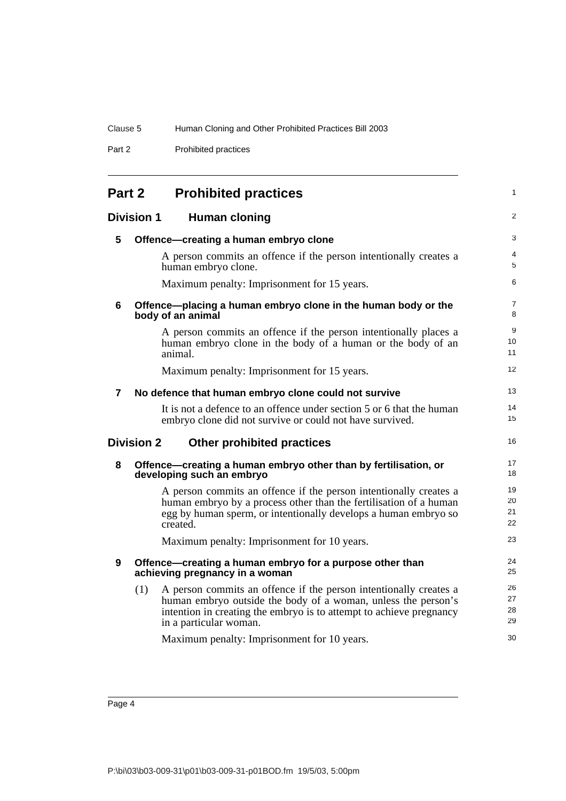Part 2 **Prohibited practices** 

<span id="page-11-7"></span><span id="page-11-6"></span><span id="page-11-5"></span><span id="page-11-4"></span><span id="page-11-3"></span><span id="page-11-2"></span><span id="page-11-1"></span><span id="page-11-0"></span>

|   | <b>Prohibited practices</b><br>Part 2                                                                                                                                                                                                      | $\mathbf{1}$         |
|---|--------------------------------------------------------------------------------------------------------------------------------------------------------------------------------------------------------------------------------------------|----------------------|
|   | <b>Division 1</b><br><b>Human cloning</b>                                                                                                                                                                                                  | 2                    |
| 5 | Offence-creating a human embryo clone                                                                                                                                                                                                      | 3                    |
|   | A person commits an offence if the person intentionally creates a<br>human embryo clone.                                                                                                                                                   | 4<br>5               |
|   | Maximum penalty: Imprisonment for 15 years.                                                                                                                                                                                                | 6                    |
| 6 | Offence—placing a human embryo clone in the human body or the<br>body of an animal                                                                                                                                                         | $\overline{7}$<br>8  |
|   | A person commits an offence if the person intentionally places a<br>human embryo clone in the body of a human or the body of an<br>animal.                                                                                                 | 9<br>10<br>11        |
|   | Maximum penalty: Imprisonment for 15 years.                                                                                                                                                                                                | 12                   |
| 7 | No defence that human embryo clone could not survive                                                                                                                                                                                       | 13                   |
|   | It is not a defence to an offence under section 5 or 6 that the human<br>embryo clone did not survive or could not have survived.                                                                                                          | 14<br>15             |
|   | <b>Division 2</b><br><b>Other prohibited practices</b>                                                                                                                                                                                     | 16                   |
| 8 | Offence—creating a human embryo other than by fertilisation, or<br>developing such an embryo                                                                                                                                               | 17<br>18             |
|   | A person commits an offence if the person intentionally creates a<br>human embryo by a process other than the fertilisation of a human<br>egg by human sperm, or intentionally develops a human embryo so<br>created.                      | 19<br>20<br>21<br>22 |
|   | Maximum penalty: Imprisonment for 10 years.                                                                                                                                                                                                | 23                   |
| 9 | Offence—creating a human embryo for a purpose other than<br>achieving pregnancy in a woman                                                                                                                                                 | 24<br>25             |
|   | A person commits an offence if the person intentionally creates a<br>(1)<br>human embryo outside the body of a woman, unless the person's<br>intention in creating the embryo is to attempt to achieve pregnancy<br>in a particular woman. | 26<br>27<br>28<br>29 |
|   | Maximum penalty: Imprisonment for 10 years.                                                                                                                                                                                                | 30                   |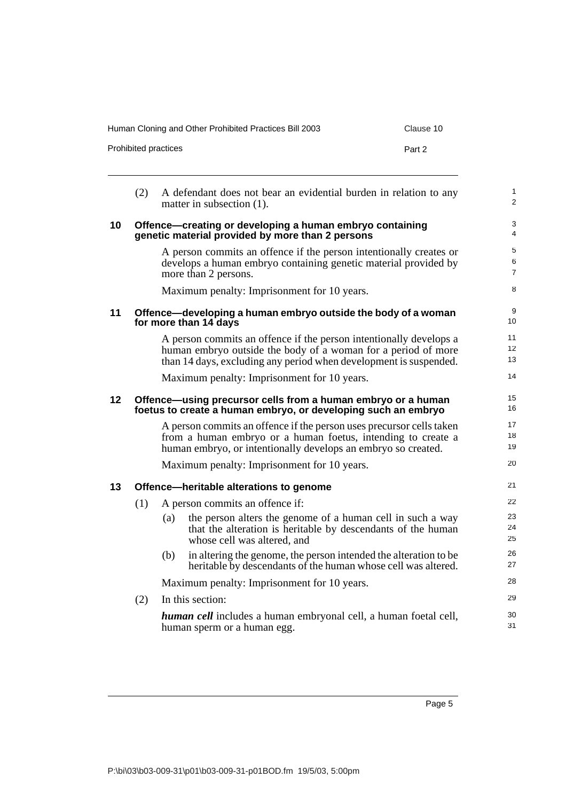<span id="page-12-3"></span><span id="page-12-2"></span><span id="page-12-1"></span><span id="page-12-0"></span>

|         | Prohibited practices                                                                                                          |     | Part 2                                                                                                                                                                                                   |                             |  |  |
|---------|-------------------------------------------------------------------------------------------------------------------------------|-----|----------------------------------------------------------------------------------------------------------------------------------------------------------------------------------------------------------|-----------------------------|--|--|
|         | (2)                                                                                                                           |     | A defendant does not bear an evidential burden in relation to any<br>matter in subsection (1).                                                                                                           | 1<br>$\overline{2}$         |  |  |
| 10      | Offence-creating or developing a human embryo containing<br>genetic material provided by more than 2 persons                  |     |                                                                                                                                                                                                          |                             |  |  |
|         |                                                                                                                               |     | A person commits an offence if the person intentionally creates or<br>develops a human embryo containing genetic material provided by<br>more than 2 persons.                                            | 5<br>6<br>$\overline{7}$    |  |  |
|         |                                                                                                                               |     | Maximum penalty: Imprisonment for 10 years.                                                                                                                                                              | 8                           |  |  |
| 11      |                                                                                                                               |     | Offence—developing a human embryo outside the body of a woman<br>for more than 14 days                                                                                                                   | 9<br>10 <sup>1</sup>        |  |  |
|         |                                                                                                                               |     | A person commits an offence if the person intentionally develops a<br>human embryo outside the body of a woman for a period of more<br>than 14 days, excluding any period when development is suspended. | 11<br>12 <sup>°</sup><br>13 |  |  |
|         |                                                                                                                               |     | Maximum penalty: Imprisonment for 10 years.                                                                                                                                                              | 14                          |  |  |
| $12 \,$ | Offence—using precursor cells from a human embryo or a human<br>foetus to create a human embryo, or developing such an embryo |     |                                                                                                                                                                                                          |                             |  |  |
|         |                                                                                                                               |     | A person commits an offence if the person uses precursor cells taken<br>from a human embryo or a human foetus, intending to create a<br>human embryo, or intentionally develops an embryo so created.    | 17<br>18<br>19              |  |  |
|         |                                                                                                                               |     | Maximum penalty: Imprisonment for 10 years.                                                                                                                                                              | 20                          |  |  |
| 13      | Offence-heritable alterations to genome                                                                                       |     |                                                                                                                                                                                                          |                             |  |  |
|         | (1)                                                                                                                           |     | A person commits an offence if:                                                                                                                                                                          | 22                          |  |  |
|         |                                                                                                                               | (a) | the person alters the genome of a human cell in such a way<br>that the alteration is heritable by descendants of the human<br>whose cell was altered, and                                                | 23<br>24<br>25              |  |  |
|         |                                                                                                                               | (b) | in altering the genome, the person intended the alteration to be<br>heritable by descendants of the human whose cell was altered.                                                                        | 26<br>27                    |  |  |
|         | Maximum penalty: Imprisonment for 10 years.                                                                                   |     |                                                                                                                                                                                                          |                             |  |  |
|         | (2)                                                                                                                           |     | In this section:                                                                                                                                                                                         | 29                          |  |  |
|         |                                                                                                                               |     | <i>human cell</i> includes a human embryonal cell, a human foetal cell,<br>human sperm or a human egg.                                                                                                   | 30<br>31                    |  |  |

Human Cloning and Other Prohibited Practices Bill 2003 Clause 10

Page 5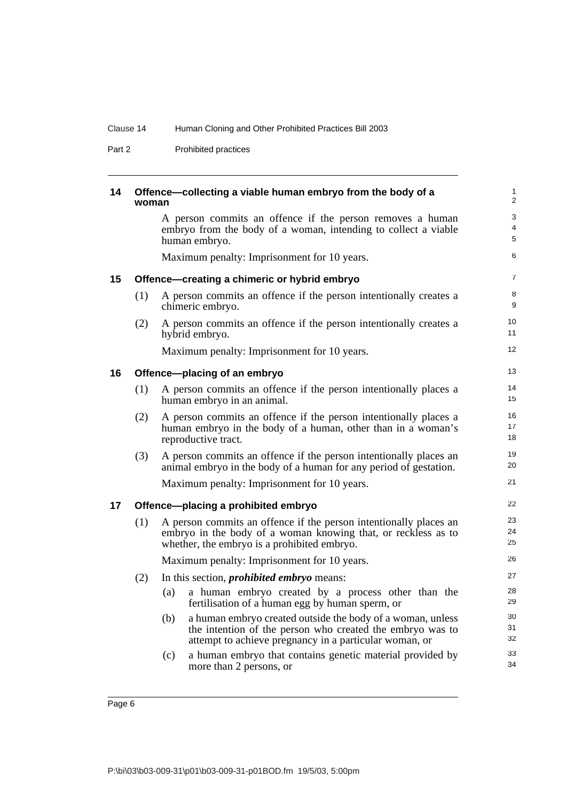Part 2 **Prohibited practices** 

<span id="page-13-2"></span><span id="page-13-1"></span><span id="page-13-0"></span>

| 14 | Offence-collecting a viable human embryo from the body of a<br>woman |                                                                                                                                                                                          |                   |  |  |
|----|----------------------------------------------------------------------|------------------------------------------------------------------------------------------------------------------------------------------------------------------------------------------|-------------------|--|--|
|    |                                                                      | A person commits an offence if the person removes a human<br>embryo from the body of a woman, intending to collect a viable<br>human embryo.                                             | 3<br>4<br>5       |  |  |
|    |                                                                      | Maximum penalty: Imprisonment for 10 years.                                                                                                                                              | 6                 |  |  |
| 15 |                                                                      | Offence-creating a chimeric or hybrid embryo                                                                                                                                             | 7                 |  |  |
|    | (1)                                                                  | A person commits an offence if the person intentionally creates a<br>chimeric embryo.                                                                                                    | 8<br>9            |  |  |
|    | (2)                                                                  | A person commits an offence if the person intentionally creates a<br>hybrid embryo.                                                                                                      | 10<br>11          |  |  |
|    |                                                                      | Maximum penalty: Imprisonment for 10 years.                                                                                                                                              | $12 \overline{ }$ |  |  |
| 16 |                                                                      | Offence-placing of an embryo                                                                                                                                                             | 13                |  |  |
|    | (1)                                                                  | A person commits an offence if the person intentionally places a<br>human embryo in an animal.                                                                                           | 14<br>15          |  |  |
|    | (2)                                                                  | A person commits an offence if the person intentionally places a<br>human embryo in the body of a human, other than in a woman's<br>reproductive tract.                                  | 16<br>17<br>18    |  |  |
|    | (3)                                                                  | A person commits an offence if the person intentionally places an<br>animal embryo in the body of a human for any period of gestation.                                                   | 19<br>20          |  |  |
|    |                                                                      | Maximum penalty: Imprisonment for 10 years.                                                                                                                                              | 21                |  |  |
| 17 | Offence-placing a prohibited embryo                                  |                                                                                                                                                                                          |                   |  |  |
|    | (1)                                                                  | A person commits an offence if the person intentionally places an<br>embryo in the body of a woman knowing that, or reckless as to<br>whether, the embryo is a prohibited embryo.        | 23<br>24<br>25    |  |  |
|    |                                                                      | Maximum penalty: Imprisonment for 10 years.                                                                                                                                              | 26                |  |  |
|    | (2)                                                                  | In this section, <i>prohibited embryo</i> means:                                                                                                                                         | 27                |  |  |
|    |                                                                      | a human embryo created by a process other than the<br>(a)<br>fertilisation of a human egg by human sperm, or                                                                             | 28<br>29          |  |  |
|    |                                                                      | (b)<br>a human embryo created outside the body of a woman, unless<br>the intention of the person who created the embryo was to<br>attempt to achieve pregnancy in a particular woman, or | 30<br>31<br>32    |  |  |
|    |                                                                      | a human embryo that contains genetic material provided by<br>(c)<br>more than 2 persons, or                                                                                              | 33<br>34          |  |  |

<span id="page-13-3"></span>Page 6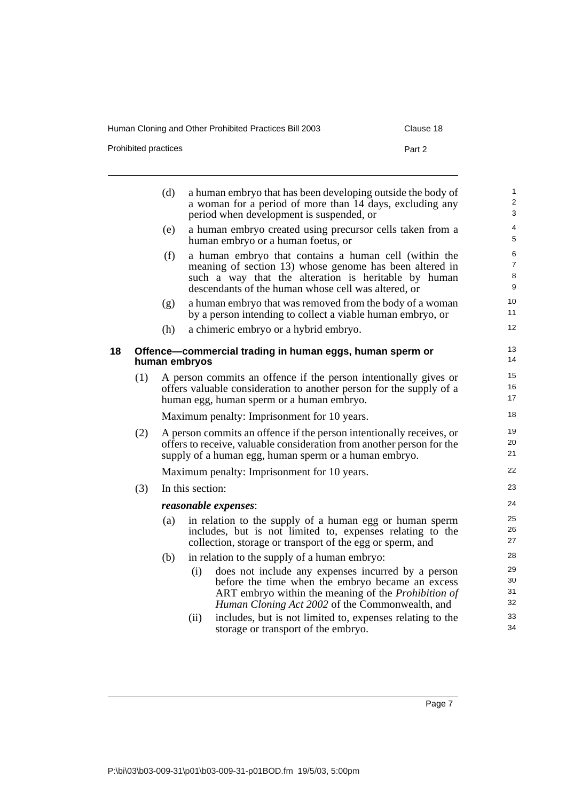Human Cloning and Other Prohibited Practices Bill 2003 Clause 18

Prohibited practices **Prohibited** practices **Part 2** 

<span id="page-14-0"></span>

|                                                                           | (d)                         |                  | a human embryo that has been developing outside the body of                                                                                                                                                                     | $\mathbf{1}$                        |  |
|---------------------------------------------------------------------------|-----------------------------|------------------|---------------------------------------------------------------------------------------------------------------------------------------------------------------------------------------------------------------------------------|-------------------------------------|--|
|                                                                           |                             |                  | a woman for a period of more than 14 days, excluding any<br>period when development is suspended, or                                                                                                                            | $\overline{2}$<br>3                 |  |
|                                                                           | (e)                         |                  | a human embryo created using precursor cells taken from a<br>human embryo or a human foetus, or                                                                                                                                 | 4<br>5                              |  |
|                                                                           | (f)                         |                  | a human embryo that contains a human cell (within the<br>meaning of section 13) whose genome has been altered in<br>such a way that the alteration is heritable by human<br>descendants of the human whose cell was altered, or | 6<br>$\overline{7}$<br>$\bf 8$<br>9 |  |
|                                                                           | (g)                         |                  | a human embryo that was removed from the body of a woman<br>by a person intending to collect a viable human embryo, or                                                                                                          | 10 <sup>1</sup><br>11               |  |
|                                                                           | (h)                         |                  | a chimeric embryo or a hybrid embryo.                                                                                                                                                                                           | 12                                  |  |
| Offence-commercial trading in human eggs, human sperm or<br>human embryos |                             |                  |                                                                                                                                                                                                                                 |                                     |  |
| (1)                                                                       |                             |                  | A person commits an offence if the person intentionally gives or<br>offers valuable consideration to another person for the supply of a<br>human egg, human sperm or a human embryo.                                            | 15 <sup>15</sup><br>16<br>17        |  |
|                                                                           |                             |                  | Maximum penalty: Imprisonment for 10 years.                                                                                                                                                                                     | 18                                  |  |
| (2)                                                                       |                             |                  | A person commits an offence if the person intentionally receives, or<br>offers to receive, valuable consideration from another person for the<br>supply of a human egg, human sperm or a human embryo.                          | 19<br>20<br>21                      |  |
|                                                                           |                             |                  | Maximum penalty: Imprisonment for 10 years.                                                                                                                                                                                     | 22                                  |  |
| (3)                                                                       |                             | In this section: |                                                                                                                                                                                                                                 | 23                                  |  |
|                                                                           | <i>reasonable expenses:</i> |                  |                                                                                                                                                                                                                                 |                                     |  |
|                                                                           | (a)                         |                  | in relation to the supply of a human egg or human sperm<br>includes, but is not limited to, expenses relating to the<br>collection, storage or transport of the egg or sperm, and                                               | 25<br>26<br>27                      |  |
|                                                                           | (b)                         |                  | in relation to the supply of a human embryo:                                                                                                                                                                                    | 28                                  |  |
|                                                                           |                             | (i)              | does not include any expenses incurred by a person<br>before the time when the embryo became an excess<br>ART embryo within the meaning of the <i>Prohibition of</i><br><i>Human Cloning Act 2002</i> of the Commonwealth, and  | 29<br>30<br>31<br>32                |  |
|                                                                           |                             | (ii)             | includes, but is not limited to, expenses relating to the<br>storage or transport of the embryo.                                                                                                                                | 33<br>34                            |  |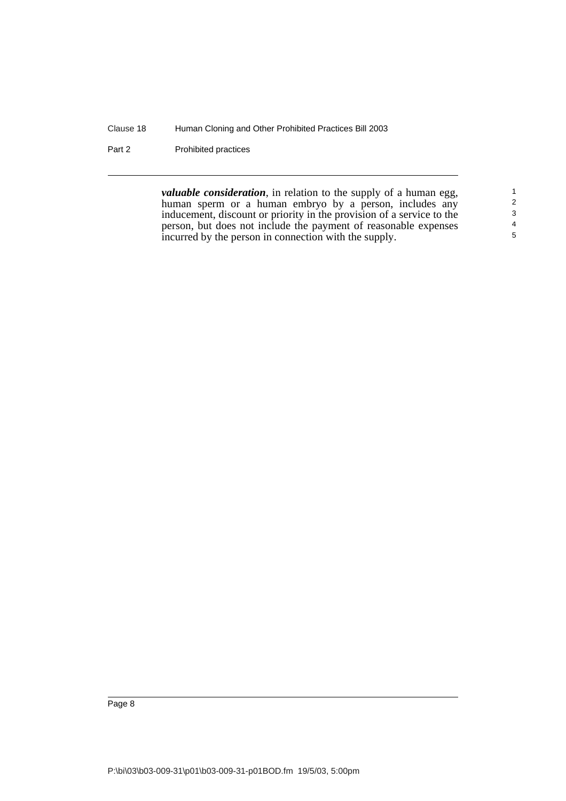Part 2 Prohibited practices

*valuable consideration*, in relation to the supply of a human egg, human sperm or a human embryo by a person, includes any inducement, discount or priority in the provision of a service to the person, but does not include the payment of reasonable expenses incurred by the person in connection with the supply.

Page 8